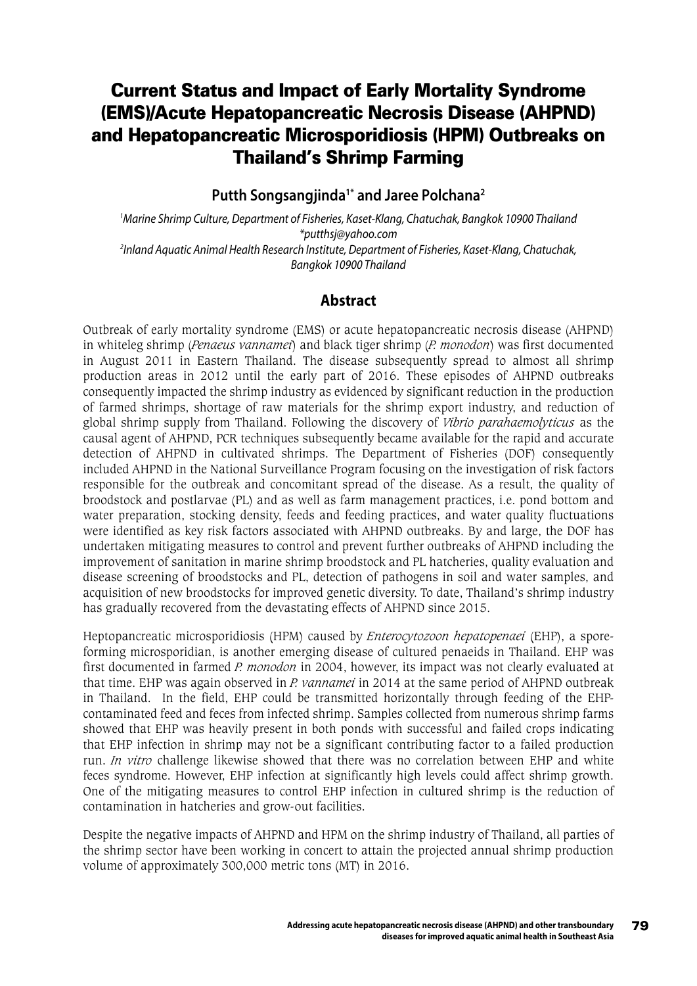# Current Status and Impact of Early Mortality Syndrome (EMS)/Acute Hepatopancreatic Necrosis Disease (AHPND) and Hepatopancreatic Microsporidiosis (HPM) Outbreaks on Thailand's Shrimp Farming

#### **Putth Songsangjinda1\* and Jaree Polchana2**

*1 Marine Shrimp Culture, Department of Fisheries, Kaset-Klang, Chatuchak, Bangkok 10900 Thailand \*putthsj@yahoo.com 2 Inland Aquatic Animal Health Research Institute, Department of Fisheries, Kaset-Klang, Chatuchak, Bangkok 10900 Thailand*

## **Abstract**

Outbreak of early mortality syndrome (EMS) or acute hepatopancreatic necrosis disease (AHPND) in whiteleg shrimp (*Penaeus vannamei*) and black tiger shrimp (*P. monodon*) was first documented in August 2011 in Eastern Thailand. The disease subsequently spread to almost all shrimp production areas in 2012 until the early part of 2016. These episodes of AHPND outbreaks consequently impacted the shrimp industry as evidenced by significant reduction in the production of farmed shrimps, shortage of raw materials for the shrimp export industry, and reduction of global shrimp supply from Thailand. Following the discovery of *Vibrio parahaemolyticus* as the causal agent of AHPND, PCR techniques subsequently became available for the rapid and accurate detection of AHPND in cultivated shrimps. The Department of Fisheries (DOF) consequently included AHPND in the National Surveillance Program focusing on the investigation of risk factors responsible for the outbreak and concomitant spread of the disease. As a result, the quality of broodstock and postlarvae (PL) and as well as farm management practices, i.e. pond bottom and water preparation, stocking density, feeds and feeding practices, and water quality fluctuations were identified as key risk factors associated with AHPND outbreaks. By and large, the DOF has undertaken mitigating measures to control and prevent further outbreaks of AHPND including the improvement of sanitation in marine shrimp broodstock and PL hatcheries, quality evaluation and disease screening of broodstocks and PL, detection of pathogens in soil and water samples, and acquisition of new broodstocks for improved genetic diversity. To date, Thailand's shrimp industry has gradually recovered from the devastating effects of AHPND since 2015.

Heptopancreatic microsporidiosis (HPM) caused by *Enterocytozoon hepatopenaei* (EHP), a sporeforming microsporidian, is another emerging disease of cultured penaeids in Thailand. EHP was first documented in farmed *P. monodon* in 2004, however, its impact was not clearly evaluated at that time. EHP was again observed in *P. vannamei* in 2014 at the same period of AHPND outbreak in Thailand. In the field, EHP could be transmitted horizontally through feeding of the EHPcontaminated feed and feces from infected shrimp. Samples collected from numerous shrimp farms showed that EHP was heavily present in both ponds with successful and failed crops indicating that EHP infection in shrimp may not be a significant contributing factor to a failed production run. *In vitro* challenge likewise showed that there was no correlation between EHP and white feces syndrome. However, EHP infection at significantly high levels could affect shrimp growth. One of the mitigating measures to control EHP infection in cultured shrimp is the reduction of contamination in hatcheries and grow-out facilities.

Despite the negative impacts of AHPND and HPM on the shrimp industry of Thailand, all parties of the shrimp sector have been working in concert to attain the projected annual shrimp production volume of approximately 300,000 metric tons (MT) in 2016.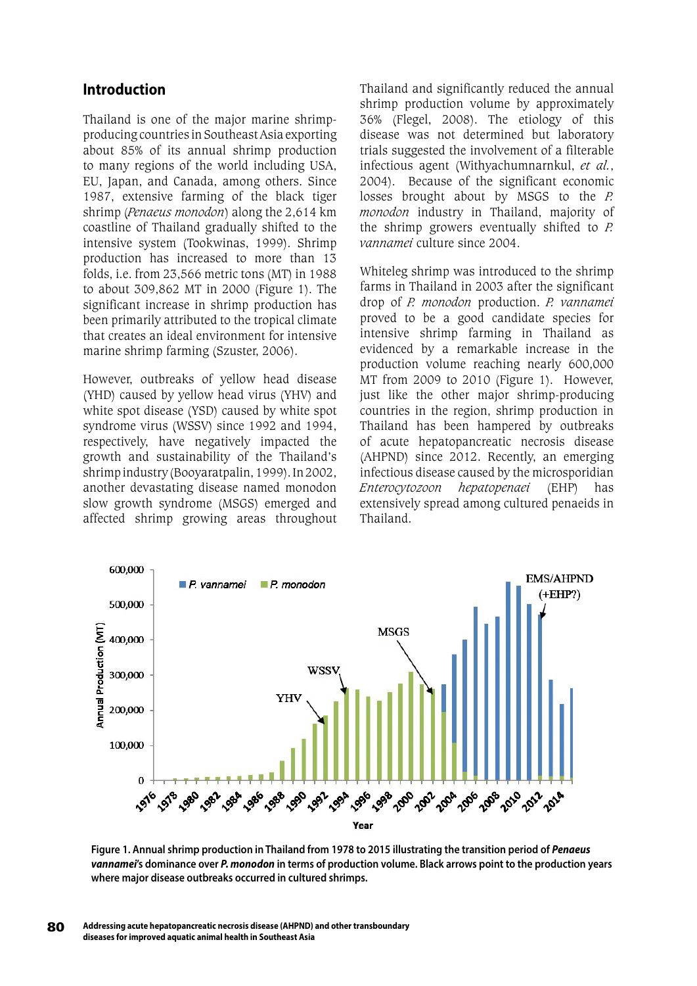#### **Introduction**

Thailand is one of the major marine shrimpproducing countries in Southeast Asia exporting about 85% of its annual shrimp production to many regions of the world including USA, EU, Japan, and Canada, among others. Since 1987, extensive farming of the black tiger shrimp (*Penaeus monodon*) along the 2,614 km coastline of Thailand gradually shifted to the intensive system (Tookwinas, 1999). Shrimp production has increased to more than 13 folds, i.e. from 23,566 metric tons (MT) in 1988 to about 309,862 MT in 2000 (Figure 1). The significant increase in shrimp production has been primarily attributed to the tropical climate that creates an ideal environment for intensive marine shrimp farming (Szuster, 2006).

However, outbreaks of yellow head disease (YHD) caused by yellow head virus (YHV) and white spot disease (YSD) caused by white spot syndrome virus (WSSV) since 1992 and 1994, respectively, have negatively impacted the growth and sustainability of the Thailand's shrimp industry (Booyaratpalin, 1999). In 2002, another devastating disease named monodon slow growth syndrome (MSGS) emerged and affected shrimp growing areas throughout

Thailand and significantly reduced the annual shrimp production volume by approximately 36% (Flegel, 2008). The etiology of this disease was not determined but laboratory trials suggested the involvement of a filterable infectious agent (Withyachumnarnkul, *et al.*, 2004). Because of the significant economic losses brought about by MSGS to the *P. monodon* industry in Thailand, majority of the shrimp growers eventually shifted to *P. vannamei* culture since 2004.

Whiteleg shrimp was introduced to the shrimp farms in Thailand in 2003 after the significant drop of *P. monodon* production. *P. vannamei*  proved to be a good candidate species for intensive shrimp farming in Thailand as evidenced by a remarkable increase in the production volume reaching nearly 600,000 MT from 2009 to 2010 (Figure 1). However, just like the other major shrimp-producing countries in the region, shrimp production in Thailand has been hampered by outbreaks of acute hepatopancreatic necrosis disease (AHPND) since 2012. Recently, an emerging infectious disease caused by the microsporidian *Enterocytozoon hepatopenaei* (EHP) has extensively spread among cultured penaeids in Thailand.



**Figure 1. Annual shrimp production in Thailand from 1978 to 2015 illustrating the transition period of** *Penaeus vannamei***'s dominance over** *P. monodon* **in terms of production volume. Black arrows point to the production years where major disease outbreaks occurred in cultured shrimps.**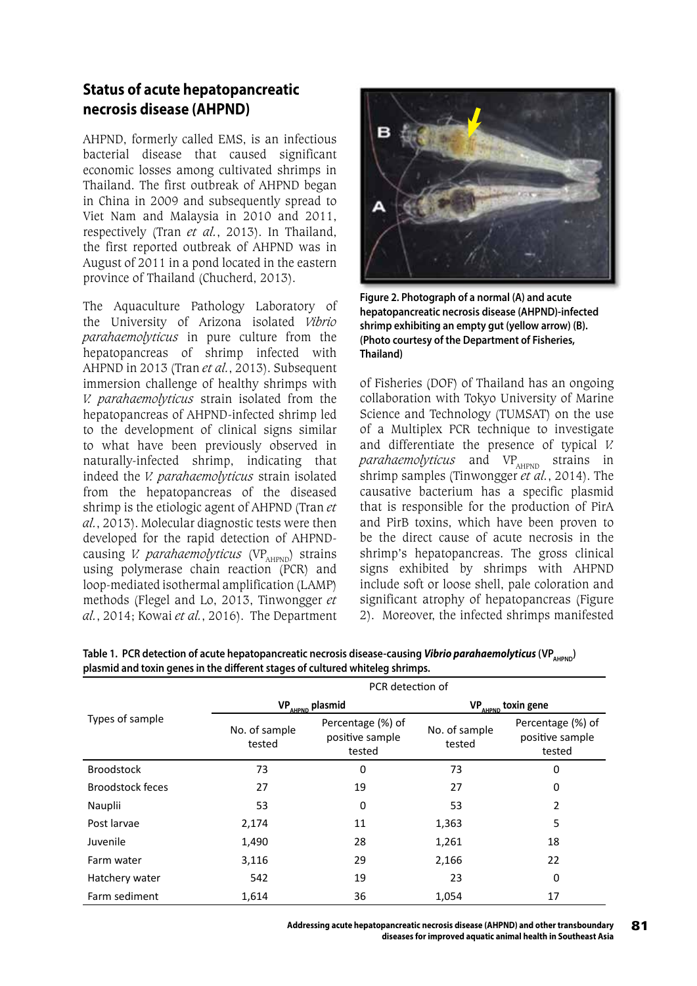# **Status of acute hepatopancreatic necrosis disease (AHPND)**

AHPND, formerly called EMS, is an infectious bacterial disease that caused significant economic losses among cultivated shrimps in Thailand. The first outbreak of AHPND began in China in 2009 and subsequently spread to Viet Nam and Malaysia in 2010 and 2011, respectively (Tran *et al.*, 2013). In Thailand, the first reported outbreak of AHPND was in August of 2011 in a pond located in the eastern province of Thailand (Chucherd, 2013).

The Aquaculture Pathology Laboratory of the University of Arizona isolated *Vibrio parahaemolyticus* in pure culture from the hepatopancreas of shrimp infected with AHPND in 2013 (Tran *et al.*, 2013). Subsequent immersion challenge of healthy shrimps with *V. parahaemolyticus* strain isolated from the hepatopancreas of AHPND-infected shrimp led to the development of clinical signs similar to what have been previously observed in naturally-infected shrimp, indicating that indeed the *V. parahaemolyticus* strain isolated from the hepatopancreas of the diseased shrimp is the etiologic agent of AHPND (Tran *et al.*, 2013). Molecular diagnostic tests were then developed for the rapid detection of AHPNDcausing *V. parahaemolyticus* (VP<sub>AHPND</sub>) strains using polymerase chain reaction (PCR) and loop-mediated isothermal amplification (LAMP) methods (Flegel and Lo, 2013, Tinwongger *et al.*, 2014; Kowai *et al.*, 2016). The Department



**Figure 2. Photograph of a normal (A) and acute hepatopancreatic necrosis disease (AHPND)-infected shrimp exhibiting an empty gut (yellow arrow) (B). (Photo courtesy of the Department of Fisheries, Thailand)**

of Fisheries (DOF) of Thailand has an ongoing collaboration with Tokyo University of Marine Science and Technology (TUMSAT) on the use of a Multiplex PCR technique to investigate and differentiate the presence of typical *V. parahaemolyticus* and VP<sub>AHPND</sub> strains in shrimp samples (Tinwongger *et al.*, 2014). The causative bacterium has a specific plasmid that is responsible for the production of PirA and PirB toxins, which have been proven to be the direct cause of acute necrosis in the shrimp's hepatopancreas. The gross clinical signs exhibited by shrimps with AHPND include soft or loose shell, pale coloration and significant atrophy of hepatopancreas (Figure 2). Moreover, the infected shrimps manifested

|                         | PCR detection of            |                                                |                                |                                                |  |
|-------------------------|-----------------------------|------------------------------------------------|--------------------------------|------------------------------------------------|--|
| Types of sample         | VP <sub>AHPND</sub> plasmid |                                                | VP <sub>AHPND</sub> toxin gene |                                                |  |
|                         | No. of sample<br>tested     | Percentage (%) of<br>positive sample<br>tested | No. of sample<br>tested        | Percentage (%) of<br>positive sample<br>tested |  |
| <b>Broodstock</b>       | 73                          | 0                                              | 73                             | 0                                              |  |
| <b>Broodstock feces</b> | 27                          | 19                                             | 27                             | 0                                              |  |
| Nauplii                 | 53                          | 0                                              | 53                             | 2                                              |  |
| Post larvae             | 2,174                       | 11                                             | 1,363                          | 5                                              |  |
| Juvenile                | 1,490                       | 28                                             | 1,261                          | 18                                             |  |
| Farm water              | 3,116                       | 29                                             | 2,166                          | 22                                             |  |
| Hatchery water          | 542                         | 19                                             | 23                             | 0                                              |  |
| Farm sediment           | 1,614                       | 36                                             | 1,054                          | 17                                             |  |

**Table 1. PCR detection of acute hepatopancreatic necrosis disease-causing** *Vibrio parahaemolyticus* **(VP<sub>AHPND</sub>) plasmid and toxin genes in the different stages of cultured whiteleg shrimps.**

**Addressing acute hepatopancreatic necrosis disease (AHPND) and other transboundary** 81 **diseases for improved aquatic animal health in Southeast Asia**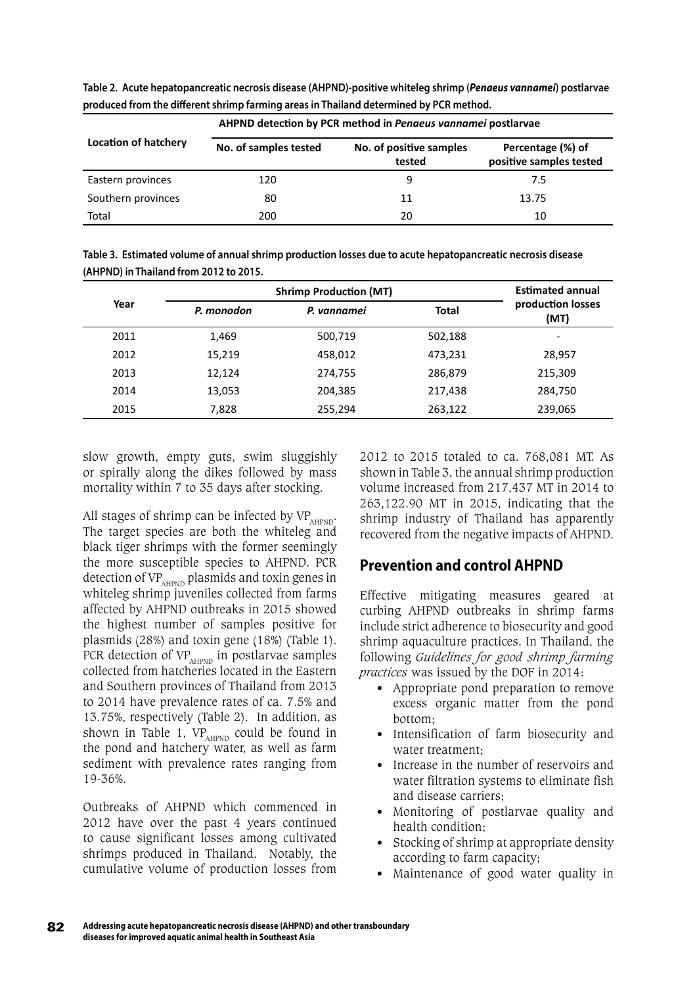|                             | AHPND detection by PCR method in Penaeus vannamei postlarvae |                                   |                                              |  |  |
|-----------------------------|--------------------------------------------------------------|-----------------------------------|----------------------------------------------|--|--|
| <b>Location of hatchery</b> | No. of samples tested                                        | No. of positive samples<br>tested | Percentage (%) of<br>positive samples tested |  |  |
| Eastern provinces           | 120                                                          | 9                                 | 7.5                                          |  |  |
| Southern provinces          | 80                                                           | 11                                | 13.75                                        |  |  |
| Total                       | 200                                                          | 20                                | 10                                           |  |  |

**Table 2. Acute hepatopancreatic necrosis disease (AHPND)-positive whiteleg shrimp (***Penaeus vannamei***) postlarvae produced from the different shrimp farming areas in Thailand determined by PCR method.**

| Table 3. Estimated volume of annual shrimp production losses due to acute hepatopancreatic necrosis disease |
|-------------------------------------------------------------------------------------------------------------|
| (AHPND) in Thailand from 2012 to 2015.                                                                      |

|      |            | <b>Shrimp Production (MT)</b> |              |                              |
|------|------------|-------------------------------|--------------|------------------------------|
| Year | P. monodon | P. vannamei                   | <b>Total</b> | production losses<br>(MT)    |
| 2011 | 1,469      | 500,719                       | 502,188      | $\qquad \qquad \blacksquare$ |
| 2012 | 15,219     | 458,012                       | 473,231      | 28,957                       |
| 2013 | 12,124     | 274,755                       | 286,879      | 215,309                      |
| 2014 | 13,053     | 204,385                       | 217,438      | 284,750                      |
| 2015 | 7,828      | 255,294                       | 263,122      | 239,065                      |

slow growth, empty guts, swim sluggishly or spirally along the dikes followed by mass mortality within 7 to 35 days after stocking.

All stages of shrimp can be infected by  $VP_{AHPND}$ . The target species are both the whiteleg and black tiger shrimps with the former seemingly the more susceptible species to AHPND. PCR detection of VP<sub>AHPND</sub> plasmids and toxin genes in whiteleg shrimp juveniles collected from farms affected by AHPND outbreaks in 2015 showed the highest number of samples positive for plasmids (28%) and toxin gene (18%) (Table 1). PCR detection of  $VP_{AHPND}$  in postlarvae samples collected from hatcheries located in the Eastern and Southern provinces of Thailand from 2013 to 2014 have prevalence rates of ca. 7.5% and 13.75%, respectively (Table 2). In addition, as shown in Table 1,  $VP_{\text{AHPND}}$  could be found in the pond and hatchery water, as well as farm sediment with prevalence rates ranging from 19-36%.

Outbreaks of AHPND which commenced in 2012 have over the past 4 years continued to cause significant losses among cultivated shrimps produced in Thailand. Notably, the cumulative volume of production losses from 2012 to 2015 totaled to ca. 768,081 MT. As shown in Table 3, the annual shrimp production volume increased from 217,437 MT in 2014 to 263,122.90 MT in 2015, indicating that the shrimp industry of Thailand has apparently recovered from the negative impacts of AHPND.

# **Prevention and control AHPND**

Effective mitigating measures geared at curbing AHPND outbreaks in shrimp farms include strict adherence to biosecurity and good shrimp aquaculture practices. In Thailand, the following *Guidelines for good shrimp farming practices* was issued by the DOF in 2014:

- Appropriate pond preparation to remove excess organic matter from the pond bottom;
- Intensification of farm biosecurity and water treatment;
- Increase in the number of reservoirs and water filtration systems to eliminate fish and disease carriers;
- Monitoring of postlarvae quality and health condition;
- Stocking of shrimp at appropriate density according to farm capacity;
- Maintenance of good water quality in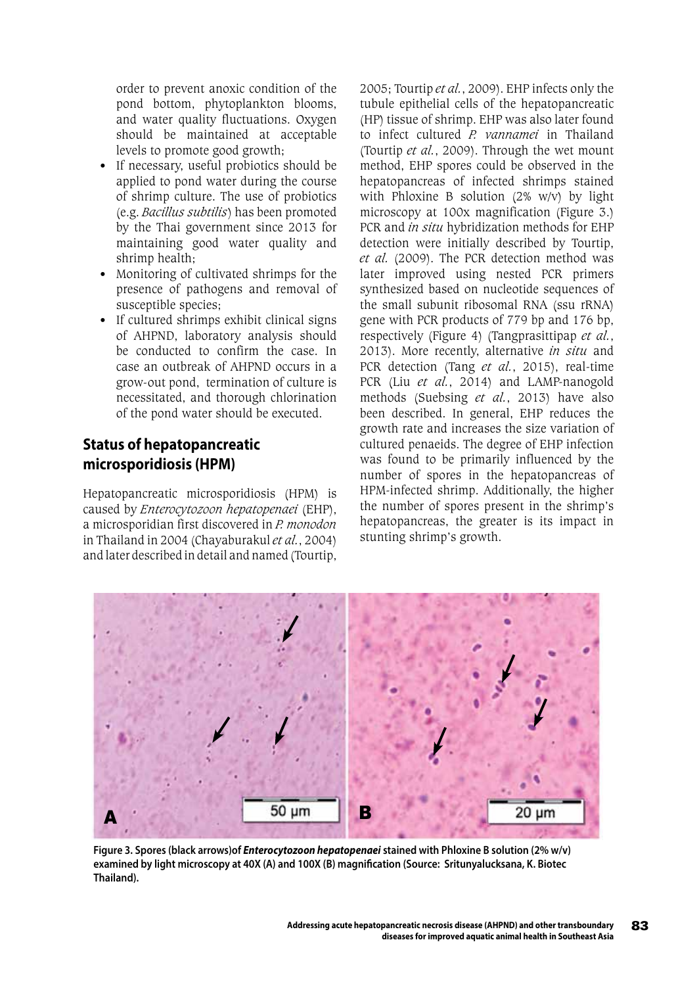order to prevent anoxic condition of the pond bottom, phytoplankton blooms, and water quality fluctuations. Oxygen should be maintained at acceptable levels to promote good growth;

- If necessary, useful probiotics should be applied to pond water during the course of shrimp culture. The use of probiotics (e.g. *Bacillus subtilis*) has been promoted by the Thai government since 2013 for maintaining good water quality and shrimp health;
- Monitoring of cultivated shrimps for the presence of pathogens and removal of susceptible species;
- If cultured shrimps exhibit clinical signs of AHPND, laboratory analysis should be conducted to confirm the case. In case an outbreak of AHPND occurs in a grow-out pond, termination of culture is necessitated, and thorough chlorination of the pond water should be executed.

## **Status of hepatopancreatic microsporidiosis (HPM)**

Hepatopancreatic microsporidiosis (HPM) is caused by *Enterocytozoon hepatopenaei* (EHP), a microsporidian first discovered in *P. monodon*  in Thailand in 2004 (Chayaburakul *et al.*, 2004) and later described in detail and named (Tourtip,

2005; Tourtip *et al.*, 2009). EHP infects only the tubule epithelial cells of the hepatopancreatic (HP) tissue of shrimp. EHP was also later found to infect cultured *P. vannamei* in Thailand (Tourtip *et al.*, 2009). Through the wet mount method, EHP spores could be observed in the hepatopancreas of infected shrimps stained with Phloxine B solution (2% w/v) by light microscopy at 100x magnification (Figure 3.) PCR and *in situ* hybridization methods for EHP detection were initially described by Tourtip, *et al.* (2009). The PCR detection method was later improved using nested PCR primers synthesized based on nucleotide sequences of the small subunit ribosomal RNA (ssu rRNA) gene with PCR products of 779 bp and 176 bp, respectively (Figure 4) (Tangprasittipap *et al.*, 2013). More recently, alternative *in situ* and PCR detection (Tang *et al.*, 2015), real-time PCR (Liu *et al.*, 2014) and LAMP-nanogold methods (Suebsing *et al.*, 2013) have also been described. In general, EHP reduces the growth rate and increases the size variation of cultured penaeids. The degree of EHP infection was found to be primarily influenced by the number of spores in the hepatopancreas of HPM-infected shrimp. Additionally, the higher the number of spores present in the shrimp's hepatopancreas, the greater is its impact in stunting shrimp's growth.



**Figure 3. Spores (black arrows)of** *Enterocytozoon hepatopenaei* **stained with Phloxine B solution (2% w/v) examined by light microscopy at 40X (A) and 100X (B) magnification (Source: Sritunyalucksana, K. Biotec Thailand).**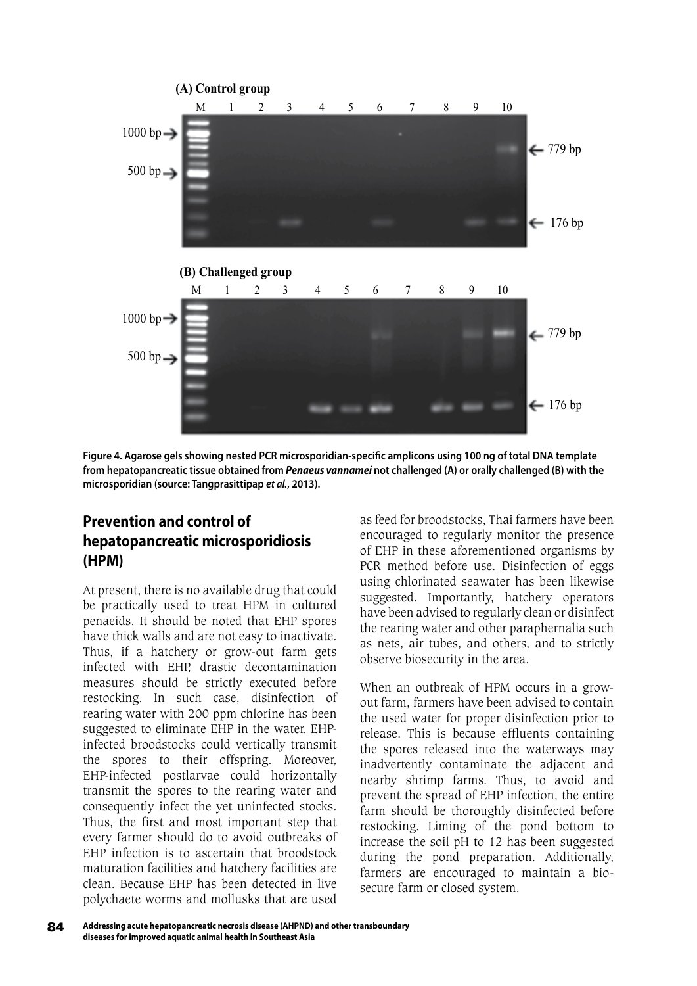

**Figure 4. Agarose gels showing nested PCR microsporidian-specific amplicons using 100 ng of total DNA template from hepatopancreatic tissue obtained from** *Penaeus vannamei* **not challenged (A) or orally challenged (B) with the microsporidian (source: Tangprasittipap** *et al.***, 2013).**

# **Prevention and control of hepatopancreatic microsporidiosis (HPM)**

At present, there is no available drug that could be practically used to treat HPM in cultured penaeids. It should be noted that EHP spores have thick walls and are not easy to inactivate. Thus, if a hatchery or grow-out farm gets infected with EHP, drastic decontamination measures should be strictly executed before restocking. In such case, disinfection of rearing water with 200 ppm chlorine has been suggested to eliminate EHP in the water. EHPinfected broodstocks could vertically transmit the spores to their offspring. Moreover, EHP-infected postlarvae could horizontally transmit the spores to the rearing water and consequently infect the yet uninfected stocks. Thus, the first and most important step that every farmer should do to avoid outbreaks of EHP infection is to ascertain that broodstock maturation facilities and hatchery facilities are clean. Because EHP has been detected in live polychaete worms and mollusks that are used

as feed for broodstocks, Thai farmers have been encouraged to regularly monitor the presence of EHP in these aforementioned organisms by PCR method before use. Disinfection of eggs using chlorinated seawater has been likewise suggested. Importantly, hatchery operators have been advised to regularly clean or disinfect the rearing water and other paraphernalia such as nets, air tubes, and others, and to strictly observe biosecurity in the area.

When an outbreak of HPM occurs in a growout farm, farmers have been advised to contain the used water for proper disinfection prior to release. This is because effluents containing the spores released into the waterways may inadvertently contaminate the adjacent and nearby shrimp farms. Thus, to avoid and prevent the spread of EHP infection, the entire farm should be thoroughly disinfected before restocking. Liming of the pond bottom to increase the soil pH to 12 has been suggested during the pond preparation. Additionally, farmers are encouraged to maintain a biosecure farm or closed system.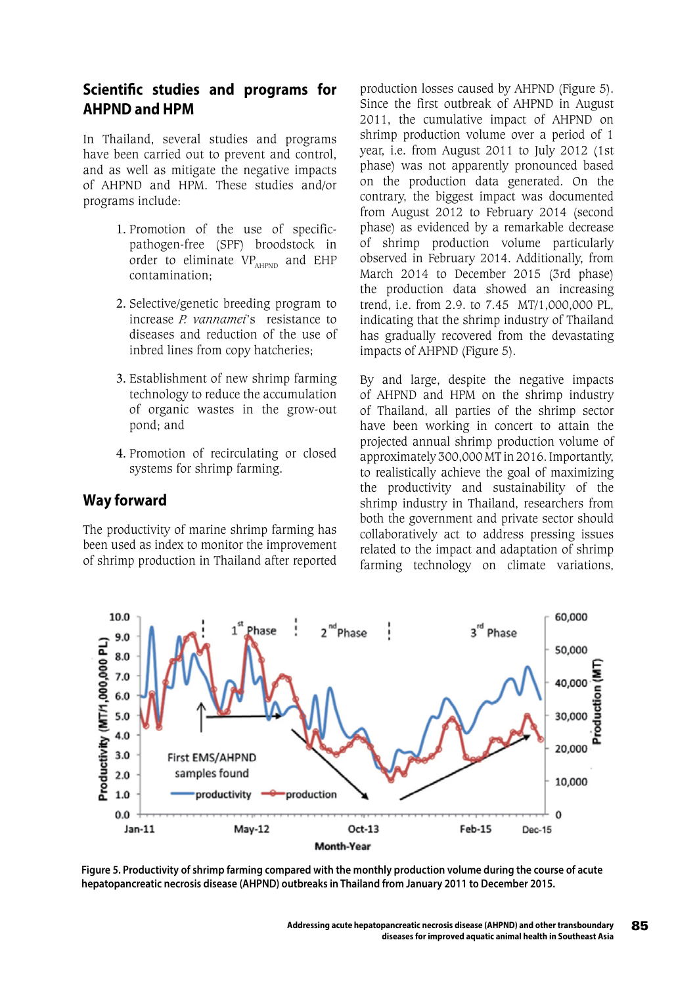#### **Scientific studies and programs for AHPND and HPM**

In Thailand, several studies and programs have been carried out to prevent and control, and as well as mitigate the negative impacts of AHPND and HPM. These studies and/or programs include:

- 1. Promotion of the use of specificpathogen-free (SPF) broodstock in order to eliminate  $VP_{\text{AHPND}}$  and EHP contamination;
- 2. Selective/genetic breeding program to increase *P. vannamei*'s resistance to diseases and reduction of the use of inbred lines from copy hatcheries;
- 3. Establishment of new shrimp farming technology to reduce the accumulation of organic wastes in the grow-out pond; and
- 4. Promotion of recirculating or closed systems for shrimp farming.

#### **Way forward**

The productivity of marine shrimp farming has been used as index to monitor the improvement of shrimp production in Thailand after reported

production losses caused by AHPND (Figure 5). Since the first outbreak of AHPND in August 2011, the cumulative impact of AHPND on shrimp production volume over a period of 1 year, i.e. from August 2011 to July 2012 (1st phase) was not apparently pronounced based on the production data generated. On the contrary, the biggest impact was documented from August 2012 to February 2014 (second phase) as evidenced by a remarkable decrease of shrimp production volume particularly observed in February 2014. Additionally, from March 2014 to December 2015 (3rd phase) the production data showed an increasing trend, i.e. from 2.9. to 7.45 MT/1,000,000 PL, indicating that the shrimp industry of Thailand has gradually recovered from the devastating impacts of AHPND (Figure 5).

By and large, despite the negative impacts of AHPND and HPM on the shrimp industry of Thailand, all parties of the shrimp sector have been working in concert to attain the projected annual shrimp production volume of approximately 300,000 MT in 2016. Importantly, to realistically achieve the goal of maximizing the productivity and sustainability of the shrimp industry in Thailand, researchers from both the government and private sector should collaboratively act to address pressing issues related to the impact and adaptation of shrimp farming technology on climate variations,



**Figure 5. Productivity of shrimp farming compared with the monthly production volume during the course of acute hepatopancreatic necrosis disease (AHPND) outbreaks in Thailand from January 2011 to December 2015.**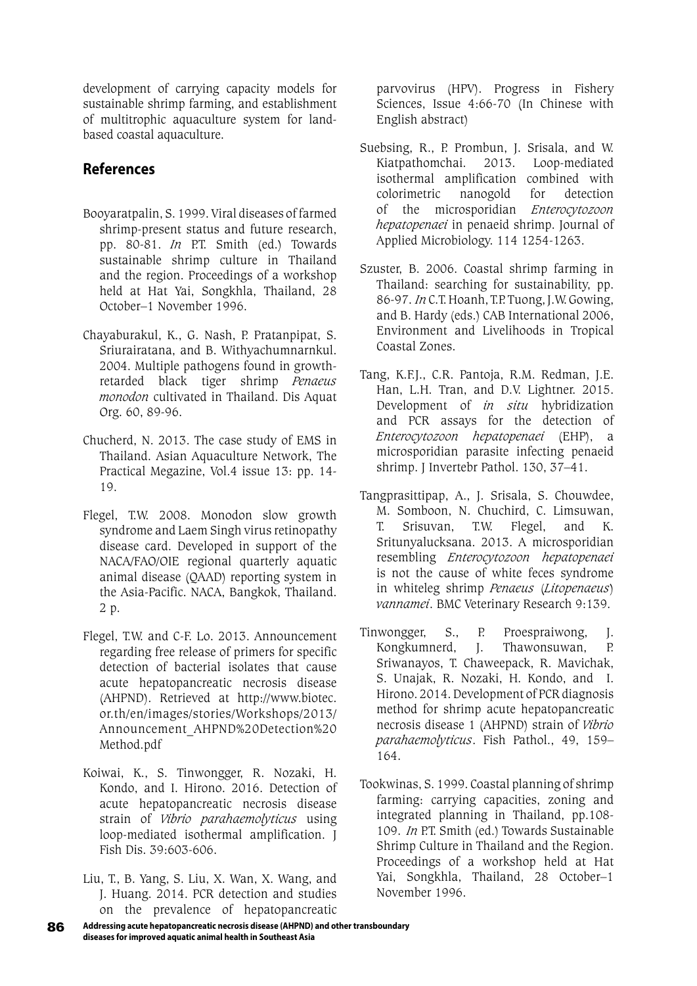development of carrying capacity models for sustainable shrimp farming, and establishment of multitrophic aquaculture system for landbased coastal aquaculture.

## **References**

- Booyaratpalin, S. 1999. Viral diseases of farmed shrimp-present status and future research, pp. 80-81. *In* P.T. Smith (ed.) Towards sustainable shrimp culture in Thailand and the region. Proceedings of a workshop held at Hat Yai, Songkhla, Thailand, 28 October–1 November 1996.
- Chayaburakul, K., G. Nash, P. Pratanpipat, S. Sriurairatana, and B. Withyachumnarnkul. 2004. Multiple pathogens found in growthretarded black tiger shrimp *Penaeus monodon* cultivated in Thailand. Dis Aquat Org. 60, 89-96.
- Chucherd, N. 2013. The case study of EMS in Thailand. Asian Aquaculture Network, The Practical Megazine, Vol.4 issue 13: pp. 14- 19.
- Flegel, T.W. 2008. Monodon slow growth syndrome and Laem Singh virus retinopathy disease card. Developed in support of the NACA/FAO/OIE regional quarterly aquatic animal disease (QAAD) reporting system in the Asia-Pacific. NACA, Bangkok, Thailand. 2 p.
- Flegel, T.W. and C-F. Lo. 2013. Announcement regarding free release of primers for specific detection of bacterial isolates that cause acute hepatopancreatic necrosis disease (AHPND). Retrieved at http://www.biotec. or.th/en/images/stories/Workshops/2013/ Announcement\_AHPND%20Detection%20 Method.pdf
- Koiwai, K., S. Tinwongger, R. Nozaki, H. Kondo, and I. Hirono. 2016. Detection of acute hepatopancreatic necrosis disease strain of *Vibrio parahaemolyticus* using loop-mediated isothermal amplification. J Fish Dis. 39:603-606.
- Liu, T., B. Yang, S. Liu, X. Wan, X. Wang, and J. Huang. 2014. PCR detection and studies on the prevalence of hepatopancreatic

parvovirus (HPV). Progress in Fishery Sciences, Issue 4:66-70 (In Chinese with English abstract)

- Suebsing, R., P. Prombun, J. Srisala, and W. Kiatpathomchai. 2013. Loop-mediated isothermal amplification combined with colorimetric nanogold for detection of the microsporidian *Enterocytozoon hepatopenaei* in penaeid shrimp. Journal of Applied Microbiology. 114 1254-1263.
- Szuster, B. 2006. Coastal shrimp farming in Thailand: searching for sustainability, pp. 86-97. *In* C.T. Hoanh, T.P. Tuong, J.W. Gowing, and B. Hardy (eds.) CAB International 2006, Environment and Livelihoods in Tropical Coastal Zones.
- Tang, K.F.J., C.R. Pantoja, R.M. Redman, J.E. Han, L.H. Tran, and D.V. Lightner. 2015. Development of *in situ* hybridization and PCR assays for the detection of *Enterocytozoon hepatopenaei* (EHP), a microsporidian parasite infecting penaeid shrimp. J Invertebr Pathol. 130, 37–41.
- Tangprasittipap, A., J. Srisala, S. Chouwdee, M. Somboon, N. Chuchird, C. Limsuwan, T. Srisuvan, T.W. Flegel, and K. Sritunyalucksana. 2013. A microsporidian resembling *Enterocytozoon hepatopenaei* is not the cause of white feces syndrome in whiteleg shrimp *Penaeus* (*Litopenaeus*) *vannamei*. BMC Veterinary Research 9:139.
- Tinwongger, S., P. Proespraiwong, J. Kongkumnerd, J. Thawonsuwan, P. Sriwanayos, T. Chaweepack, R. Mavichak, S. Unajak, R. Nozaki, H. Kondo, and I. Hirono. 2014. Development of PCR diagnosis method for shrimp acute hepatopancreatic necrosis disease 1 (AHPND) strain of *Vibrio parahaemolyticus*. Fish Pathol., 49, 159– 164.
- Tookwinas, S. 1999. Coastal planning of shrimp farming: carrying capacities, zoning and integrated planning in Thailand, pp.108- 109. *In* P.T. Smith (ed.) Towards Sustainable Shrimp Culture in Thailand and the Region. Proceedings of a workshop held at Hat Yai, Songkhla, Thailand, 28 October–1 November 1996.
- 86 **Addressing acute hepatopancreatic necrosis disease (AHPND) and other transboundary diseases for improved aquatic animal health in Southeast Asia**